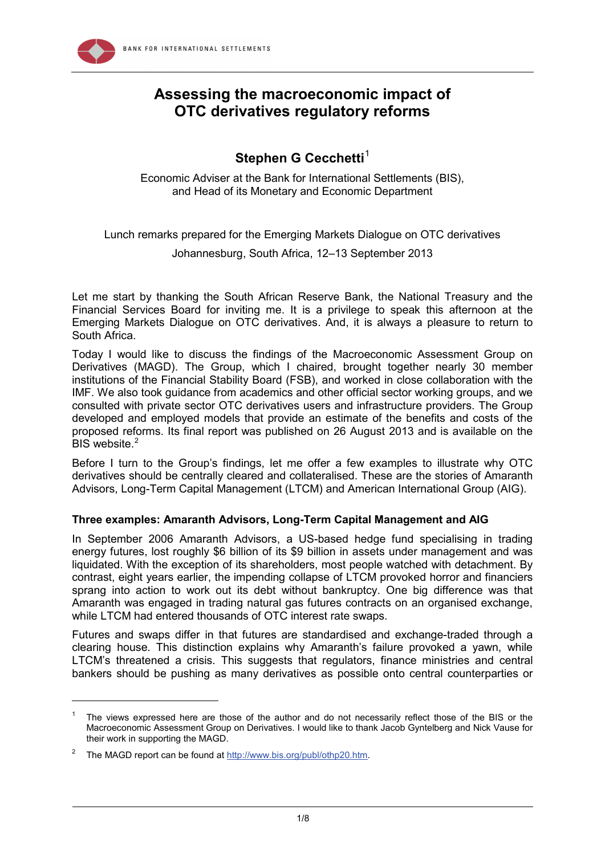

# **Assessing the macroeconomic impact of OTC derivatives regulatory reforms**

# **Stephen G Cecchetti<sup>[1](#page-0-0)</sup>**

Economic Adviser at the Bank for International Settlements (BIS), and Head of its Monetary and Economic Department

Lunch remarks prepared for the Emerging Markets Dialogue on OTC derivatives

Johannesburg, South Africa, 12–13 September 2013

Let me start by thanking the South African Reserve Bank, the National Treasury and the Financial Services Board for inviting me. It is a privilege to speak this afternoon at the Emerging Markets Dialogue on OTC derivatives. And, it is always a pleasure to return to South Africa.

Today I would like to discuss the findings of the Macroeconomic Assessment Group on Derivatives (MAGD). The Group, which I chaired, brought together nearly 30 member institutions of the Financial Stability Board (FSB), and worked in close collaboration with the IMF. We also took guidance from academics and other official sector working groups, and we consulted with private sector OTC derivatives users and infrastructure providers. The Group developed and employed models that provide an estimate of the benefits and costs of the proposed reforms. Its final report was published on 26 August 2013 and is available on the BIS website.<sup>[2](#page-0-1)</sup>

Before I turn to the Group's findings, let me offer a few examples to illustrate why OTC derivatives should be centrally cleared and collateralised. These are the stories of Amaranth Advisors, Long-Term Capital Management (LTCM) and American International Group (AIG).

# **Three examples: Amaranth Advisors, Long-Term Capital Management and AIG**

In September 2006 Amaranth Advisors, a US-based hedge fund specialising in trading energy futures, lost roughly \$6 billion of its \$9 billion in assets under management and was liquidated. With the exception of its shareholders, most people watched with detachment. By contrast, eight years earlier, the impending collapse of LTCM provoked horror and financiers sprang into action to work out its debt without bankruptcy. One big difference was that Amaranth was engaged in trading natural gas futures contracts on an organised exchange, while LTCM had entered thousands of OTC interest rate swaps.

Futures and swaps differ in that futures are standardised and exchange-traded through a clearing house. This distinction explains why Amaranth's failure provoked a yawn, while LTCM's threatened a crisis. This suggests that regulators, finance ministries and central bankers should be pushing as many derivatives as possible onto central counterparties or

-

<span id="page-0-0"></span><sup>1</sup> The views expressed here are those of the author and do not necessarily reflect those of the BIS or the Macroeconomic Assessment Group on Derivatives. I would like to thank Jacob Gyntelberg and Nick Vause for their work in supporting the MAGD.

<span id="page-0-1"></span><sup>&</sup>lt;sup>2</sup> The MAGD report can be found at [http://www.bis.org/publ/othp20.htm.](http://www.bis.org/publ/othp20.htm)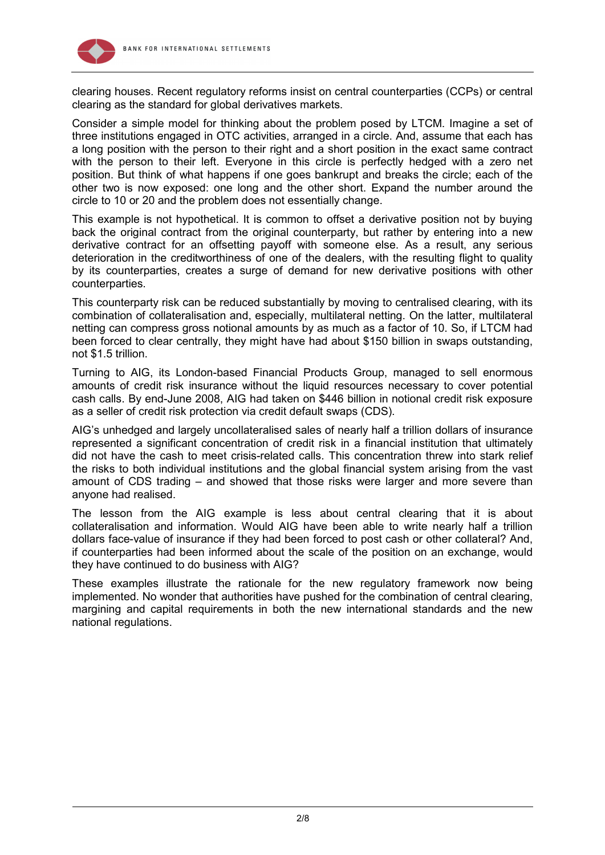

clearing houses. Recent regulatory reforms insist on central counterparties (CCPs) or central clearing as the standard for global derivatives markets.

Consider a simple model for thinking about the problem posed by LTCM. Imagine a set of three institutions engaged in OTC activities, arranged in a circle. And, assume that each has a long position with the person to their right and a short position in the exact same contract with the person to their left. Everyone in this circle is perfectly hedged with a zero net position. But think of what happens if one goes bankrupt and breaks the circle; each of the other two is now exposed: one long and the other short. Expand the number around the circle to 10 or 20 and the problem does not essentially change.

This example is not hypothetical. It is common to offset a derivative position not by buying back the original contract from the original counterparty, but rather by entering into a new derivative contract for an offsetting payoff with someone else. As a result, any serious deterioration in the creditworthiness of one of the dealers, with the resulting flight to quality by its counterparties, creates a surge of demand for new derivative positions with other counterparties.

This counterparty risk can be reduced substantially by moving to centralised clearing, with its combination of collateralisation and, especially, multilateral netting. On the latter, multilateral netting can compress gross notional amounts by as much as a factor of 10. So, if LTCM had been forced to clear centrally, they might have had about \$150 billion in swaps outstanding, not \$1.5 trillion.

Turning to AIG, its London-based Financial Products Group, managed to sell enormous amounts of credit risk insurance without the liquid resources necessary to cover potential cash calls. By end-June 2008, AIG had taken on \$446 billion in notional credit risk exposure as a seller of credit risk protection via credit default swaps (CDS).

AIG's unhedged and largely uncollateralised sales of nearly half a trillion dollars of insurance represented a significant concentration of credit risk in a financial institution that ultimately did not have the cash to meet crisis-related calls. This concentration threw into stark relief the risks to both individual institutions and the global financial system arising from the vast amount of CDS trading – and showed that those risks were larger and more severe than anyone had realised.

The lesson from the AIG example is less about central clearing that it is about collateralisation and information. Would AIG have been able to write nearly half a trillion dollars face-value of insurance if they had been forced to post cash or other collateral? And, if counterparties had been informed about the scale of the position on an exchange, would they have continued to do business with AIG?

These examples illustrate the rationale for the new regulatory framework now being implemented. No wonder that authorities have pushed for the combination of central clearing, margining and capital requirements in both the new international standards and the new national regulations.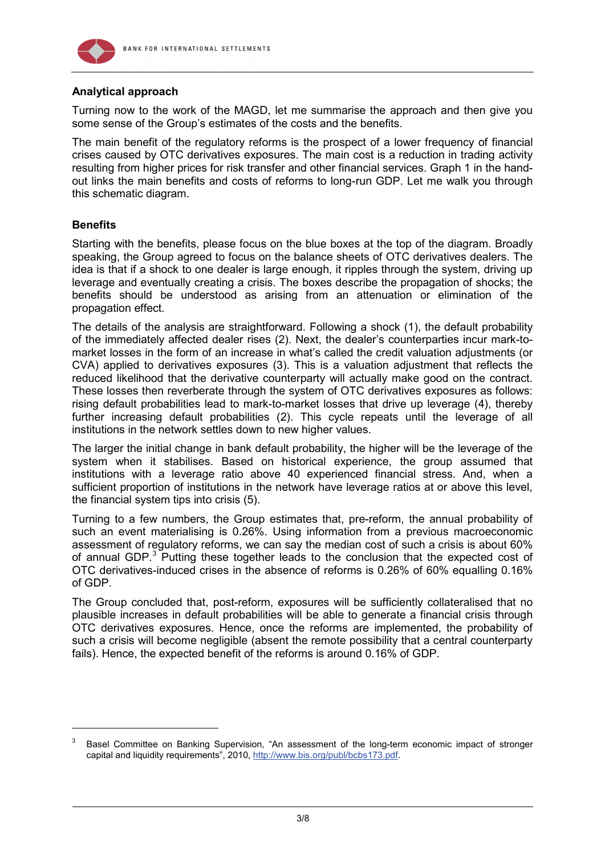

# **Analytical approach**

Turning now to the work of the MAGD, let me summarise the approach and then give you some sense of the Group's estimates of the costs and the benefits.

The main benefit of the regulatory reforms is the prospect of a lower frequency of financial crises caused by OTC derivatives exposures. The main cost is a reduction in trading activity resulting from higher prices for risk transfer and other financial services. Graph 1 in the handout links the main benefits and costs of reforms to long-run GDP. Let me walk you through this schematic diagram.

# **Benefits**

-

Starting with the benefits, please focus on the blue boxes at the top of the diagram. Broadly speaking, the Group agreed to focus on the balance sheets of OTC derivatives dealers. The idea is that if a shock to one dealer is large enough, it ripples through the system, driving up leverage and eventually creating a crisis. The boxes describe the propagation of shocks; the benefits should be understood as arising from an attenuation or elimination of the propagation effect.

The details of the analysis are straightforward. Following a shock (1), the default probability of the immediately affected dealer rises (2). Next, the dealer's counterparties incur mark-tomarket losses in the form of an increase in what's called the credit valuation adjustments (or CVA) applied to derivatives exposures (3). This is a valuation adjustment that reflects the reduced likelihood that the derivative counterparty will actually make good on the contract. These losses then reverberate through the system of OTC derivatives exposures as follows: rising default probabilities lead to mark-to-market losses that drive up leverage (4), thereby further increasing default probabilities (2). This cycle repeats until the leverage of all institutions in the network settles down to new higher values.

The larger the initial change in bank default probability, the higher will be the leverage of the system when it stabilises. Based on historical experience, the group assumed that institutions with a leverage ratio above 40 experienced financial stress. And, when a sufficient proportion of institutions in the network have leverage ratios at or above this level, the financial system tips into crisis (5).

Turning to a few numbers, the Group estimates that, pre-reform, the annual probability of such an event materialising is 0.26%. Using information from a previous macroeconomic assessment of regulatory reforms, we can say the median cost of such a crisis is about 60% of annual GDP.<sup>[3](#page-2-0)</sup> Putting these together leads to the conclusion that the expected cost of OTC derivatives-induced crises in the absence of reforms is 0.26% of 60% equalling 0.16% of GDP.

The Group concluded that, post-reform, exposures will be sufficiently collateralised that no plausible increases in default probabilities will be able to generate a financial crisis through OTC derivatives exposures. Hence, once the reforms are implemented, the probability of such a crisis will become negligible (absent the remote possibility that a central counterparty fails). Hence, the expected benefit of the reforms is around 0.16% of GDP.

<span id="page-2-0"></span><sup>3</sup> Basel Committee on Banking Supervision, "An assessment of the long-term economic impact of stronger capital and liquidity requirements", 2010, [http://www.bis.org/publ/bcbs173.pdf.](http://www.bis.org/publ/bcbs173.pdf)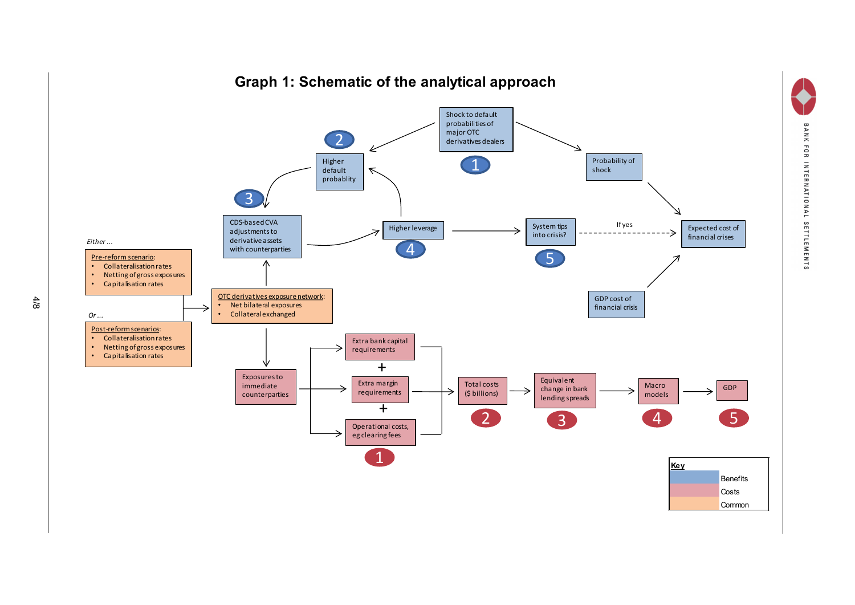

# **Graph 1: Schematic of the analytical approach**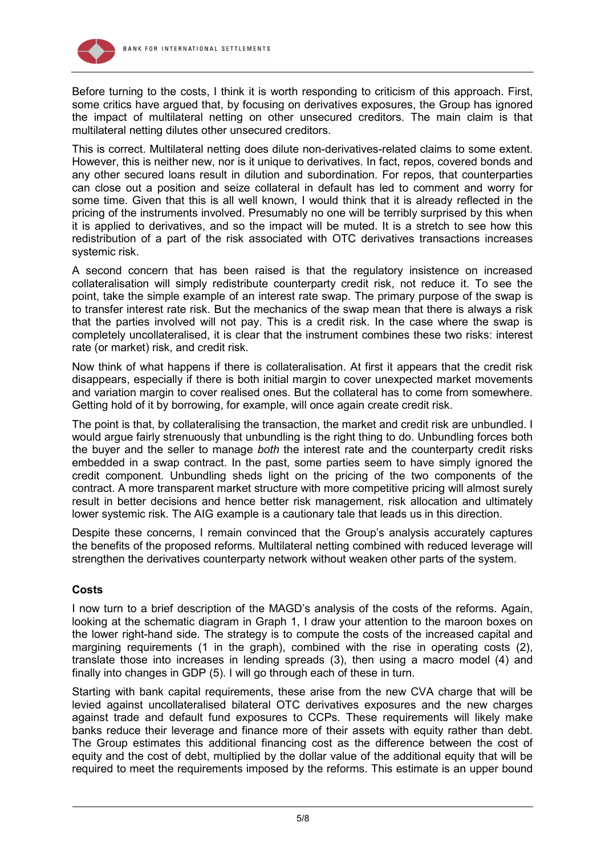

Before turning to the costs, I think it is worth responding to criticism of this approach. First, some critics have argued that, by focusing on derivatives exposures, the Group has ignored the impact of multilateral netting on other unsecured creditors. The main claim is that multilateral netting dilutes other unsecured creditors.

This is correct. Multilateral netting does dilute non-derivatives-related claims to some extent. However, this is neither new, nor is it unique to derivatives. In fact, repos, covered bonds and any other secured loans result in dilution and subordination. For repos, that counterparties can close out a position and seize collateral in default has led to comment and worry for some time. Given that this is all well known, I would think that it is already reflected in the pricing of the instruments involved. Presumably no one will be terribly surprised by this when it is applied to derivatives, and so the impact will be muted. It is a stretch to see how this redistribution of a part of the risk associated with OTC derivatives transactions increases systemic risk.

A second concern that has been raised is that the regulatory insistence on increased collateralisation will simply redistribute counterparty credit risk, not reduce it. To see the point, take the simple example of an interest rate swap. The primary purpose of the swap is to transfer interest rate risk. But the mechanics of the swap mean that there is always a risk that the parties involved will not pay. This is a credit risk. In the case where the swap is completely uncollateralised, it is clear that the instrument combines these two risks: interest rate (or market) risk, and credit risk.

Now think of what happens if there is collateralisation. At first it appears that the credit risk disappears, especially if there is both initial margin to cover unexpected market movements and variation margin to cover realised ones. But the collateral has to come from somewhere. Getting hold of it by borrowing, for example, will once again create credit risk.

The point is that, by collateralising the transaction, the market and credit risk are unbundled. I would argue fairly strenuously that unbundling is the right thing to do. Unbundling forces both the buyer and the seller to manage *both* the interest rate and the counterparty credit risks embedded in a swap contract. In the past, some parties seem to have simply ignored the credit component. Unbundling sheds light on the pricing of the two components of the contract. A more transparent market structure with more competitive pricing will almost surely result in better decisions and hence better risk management, risk allocation and ultimately lower systemic risk. The AIG example is a cautionary tale that leads us in this direction.

Despite these concerns, I remain convinced that the Group's analysis accurately captures the benefits of the proposed reforms. Multilateral netting combined with reduced leverage will strengthen the derivatives counterparty network without weaken other parts of the system.

# **Costs**

I now turn to a brief description of the MAGD's analysis of the costs of the reforms. Again, looking at the schematic diagram in Graph 1, I draw your attention to the maroon boxes on the lower right-hand side. The strategy is to compute the costs of the increased capital and margining requirements (1 in the graph), combined with the rise in operating costs (2), translate those into increases in lending spreads (3), then using a macro model (4) and finally into changes in GDP (5). I will go through each of these in turn.

Starting with bank capital requirements, these arise from the new CVA charge that will be levied against uncollateralised bilateral OTC derivatives exposures and the new charges against trade and default fund exposures to CCPs. These requirements will likely make banks reduce their leverage and finance more of their assets with equity rather than debt. The Group estimates this additional financing cost as the difference between the cost of equity and the cost of debt, multiplied by the dollar value of the additional equity that will be required to meet the requirements imposed by the reforms. This estimate is an upper bound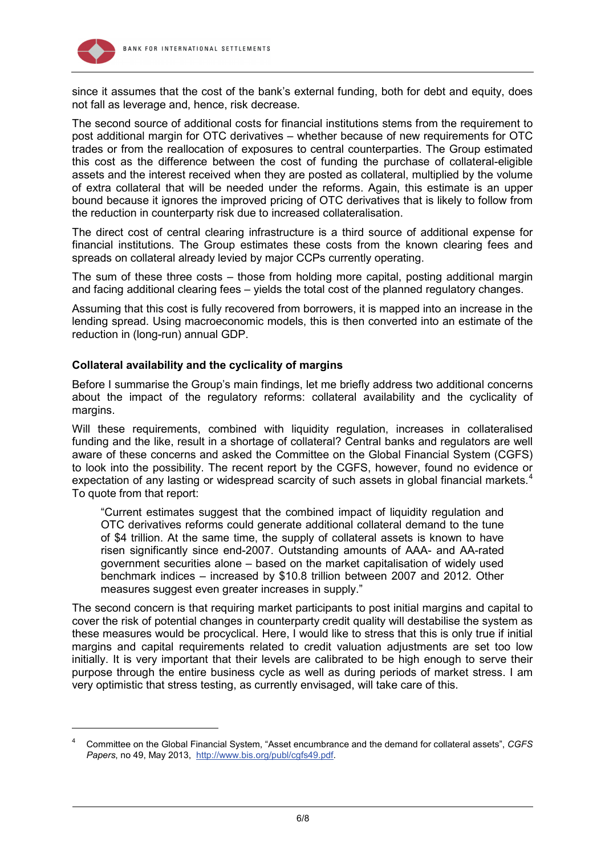

-

since it assumes that the cost of the bank's external funding, both for debt and equity, does not fall as leverage and, hence, risk decrease.

The second source of additional costs for financial institutions stems from the requirement to post additional margin for OTC derivatives – whether because of new requirements for OTC trades or from the reallocation of exposures to central counterparties. The Group estimated this cost as the difference between the cost of funding the purchase of collateral-eligible assets and the interest received when they are posted as collateral, multiplied by the volume of extra collateral that will be needed under the reforms. Again, this estimate is an upper bound because it ignores the improved pricing of OTC derivatives that is likely to follow from the reduction in counterparty risk due to increased collateralisation.

The direct cost of central clearing infrastructure is a third source of additional expense for financial institutions. The Group estimates these costs from the known clearing fees and spreads on collateral already levied by major CCPs currently operating.

The sum of these three costs – those from holding more capital, posting additional margin and facing additional clearing fees – yields the total cost of the planned regulatory changes.

Assuming that this cost is fully recovered from borrowers, it is mapped into an increase in the lending spread. Using macroeconomic models, this is then converted into an estimate of the reduction in (long-run) annual GDP.

# **Collateral availability and the cyclicality of margins**

Before I summarise the Group's main findings, let me briefly address two additional concerns about the impact of the regulatory reforms: collateral availability and the cyclicality of margins.

Will these requirements, combined with liquidity regulation, increases in collateralised funding and the like, result in a shortage of collateral? Central banks and regulators are well aware of these concerns and asked the Committee on the Global Financial System (CGFS) to look into the possibility. The recent report by the CGFS, however, found no evidence or expectation of any lasting or widespread scarcity of such assets in global financial markets.<sup>[4](#page-5-0)</sup> To quote from that report:

"Current estimates suggest that the combined impact of liquidity regulation and OTC derivatives reforms could generate additional collateral demand to the tune of \$4 trillion. At the same time, the supply of collateral assets is known to have risen significantly since end-2007. Outstanding amounts of AAA- and AA-rated government securities alone – based on the market capitalisation of widely used benchmark indices – increased by \$10.8 trillion between 2007 and 2012. Other measures suggest even greater increases in supply."

The second concern is that requiring market participants to post initial margins and capital to cover the risk of potential changes in counterparty credit quality will destabilise the system as these measures would be procyclical. Here, I would like to stress that this is only true if initial margins and capital requirements related to credit valuation adjustments are set too low initially. It is very important that their levels are calibrated to be high enough to serve their purpose through the entire business cycle as well as during periods of market stress. I am very optimistic that stress testing, as currently envisaged, will take care of this.

<span id="page-5-0"></span><sup>4</sup> Committee on the Global Financial System, "Asset encumbrance and the demand for collateral assets", *CGFS Papers*, no 49, May 2013, [http://www.bis.org/publ/cgfs49.pdf.](http://www.bis.org/publ/cgfs49.pdf)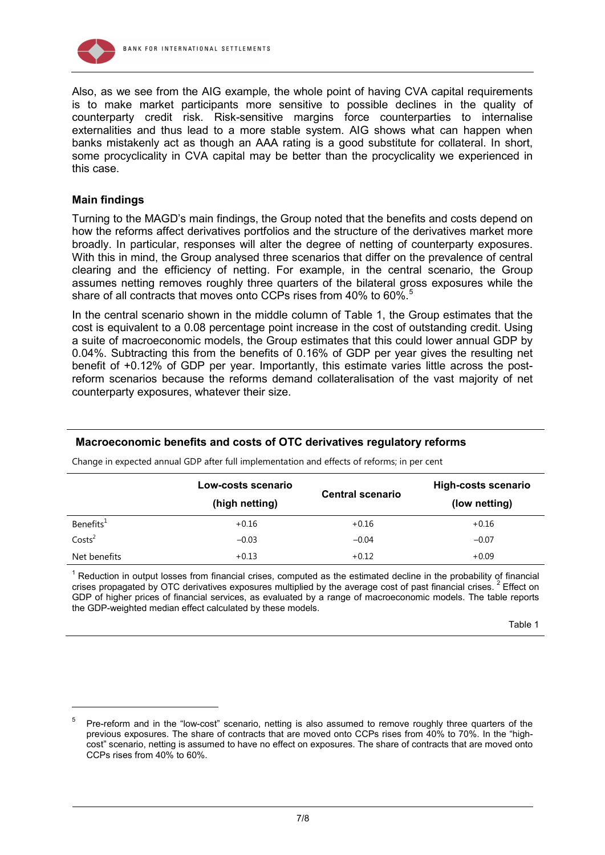

Also, as we see from the AIG example, the whole point of having CVA capital requirements is to make market participants more sensitive to possible declines in the quality of counterparty credit risk. Risk-sensitive margins force counterparties to internalise externalities and thus lead to a more stable system. AIG shows what can happen when banks mistakenly act as though an AAA rating is a good substitute for collateral. In short, some procyclicality in CVA capital may be better than the procyclicality we experienced in this case.

### **Main findings**

-

Turning to the MAGD's main findings, the Group noted that the benefits and costs depend on how the reforms affect derivatives portfolios and the structure of the derivatives market more broadly. In particular, responses will alter the degree of netting of counterparty exposures. With this in mind, the Group analysed three scenarios that differ on the prevalence of central clearing and the efficiency of netting. For example, in the central scenario, the Group assumes netting removes roughly three quarters of the bilateral gross exposures while the share of all contracts that moves onto CCPs rises from 40% to 60%.<sup>[5](#page-6-0)</sup>

In the central scenario shown in the middle column of Table 1, the Group estimates that the cost is equivalent to a 0.08 percentage point increase in the cost of outstanding credit. Using a suite of macroeconomic models, the Group estimates that this could lower annual GDP by 0.04%. Subtracting this from the benefits of 0.16% of GDP per year gives the resulting net benefit of +0.12% of GDP per year. Importantly, this estimate varies little across the postreform scenarios because the reforms demand collateralisation of the vast majority of net counterparty exposures, whatever their size.

# **Macroeconomic benefits and costs of OTC derivatives regulatory reforms**

|                       | Low-costs scenario<br>(high netting) | <b>Central scenario</b> | <b>High-costs scenario</b><br>(low netting) |
|-----------------------|--------------------------------------|-------------------------|---------------------------------------------|
| Benefits <sup>1</sup> | $+0.16$                              | $+0.16$                 | $+0.16$                                     |
| Costs <sup>2</sup>    | $-0.03$                              | $-0.04$                 | $-0.07$                                     |
| Net benefits          | $+0.13$                              | $+0.12$                 | $+0.09$                                     |

Change in expected annual GDP after full implementation and effects of reforms; in per cent

 $<sup>1</sup>$  Reduction in output losses from financial crises, computed as the estimated decline in the probability of financial</sup> crises propagated by OTC derivatives exposures multiplied by the average cost of past financial crises. <sup>2</sup> Effect on GDP of higher prices of financial services, as evaluated by a range of macroeconomic models. The table reports the GDP-weighted median effect calculated by these models.

#### Table 1

<span id="page-6-0"></span><sup>5</sup> Pre-reform and in the "low-cost" scenario, netting is also assumed to remove roughly three quarters of the previous exposures. The share of contracts that are moved onto CCPs rises from 40% to 70%. In the "highcost" scenario, netting is assumed to have no effect on exposures. The share of contracts that are moved onto CCPs rises from 40% to 60%.